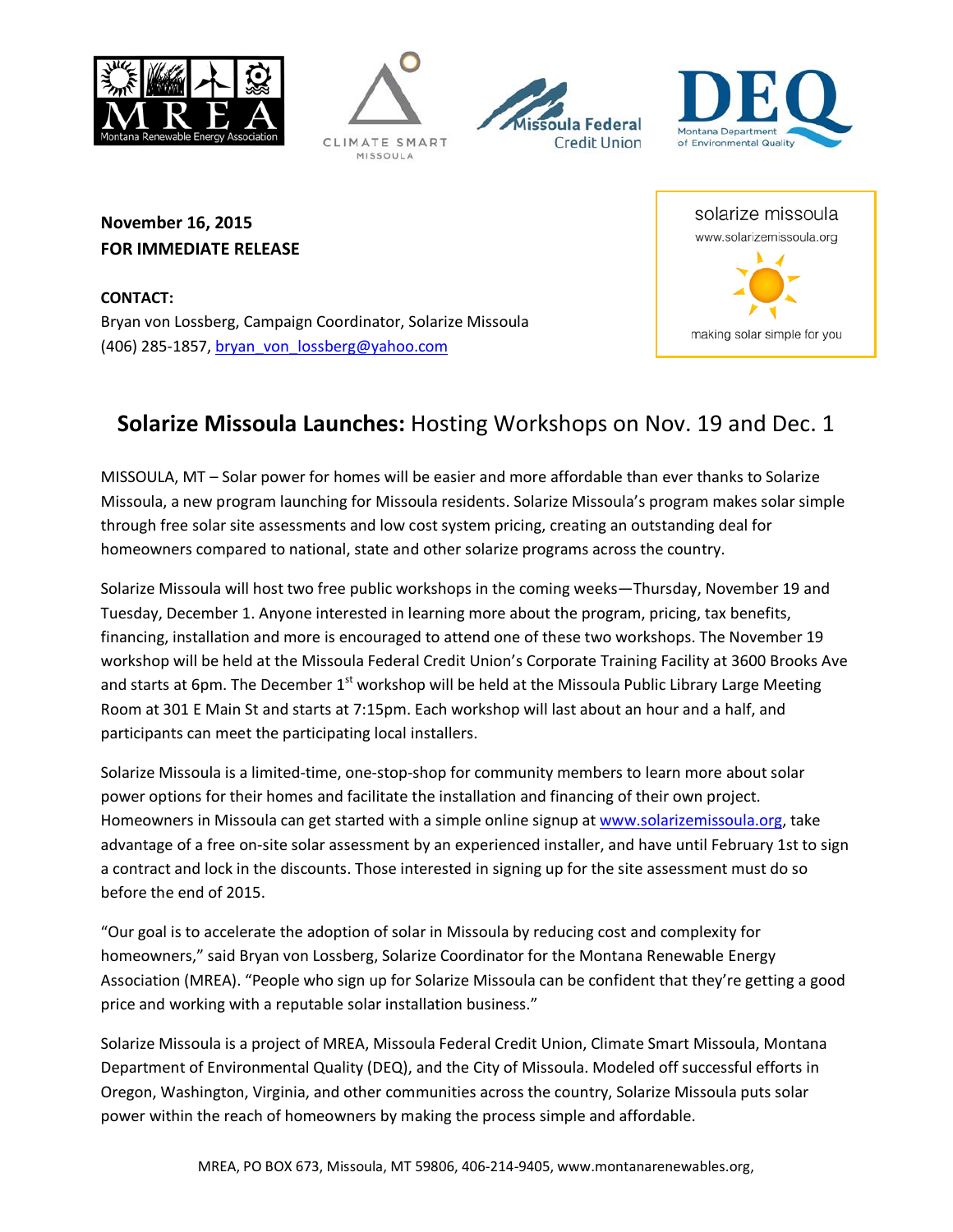







**November 16, 2015 FOR IMMEDIATE RELEASE**

**CONTACT:** Bryan von Lossberg, Campaign Coordinator, Solarize Missoula (406) 285-1857, [bryan\\_von\\_lossberg@yahoo.com](mailto:bryan_von_lossberg@yahoo.com)

## **Solarize Missoula Launches:** Hosting Workshops on Nov. 19 and Dec. 1

MISSOULA, MT – Solar power for homes will be easier and more affordable than ever thanks to Solarize Missoula, a new program launching for Missoula residents. Solarize Missoula's program makes solar simple through free solar site assessments and low cost system pricing, creating an outstanding deal for homeowners compared to national, state and other solarize programs across the country.

Solarize Missoula will host two free public workshops in the coming weeks—Thursday, November 19 and Tuesday, December 1. Anyone interested in learning more about the program, pricing, tax benefits, financing, installation and more is encouraged to attend one of these two workshops. The November 19 workshop will be held at the Missoula Federal Credit Union's Corporate Training Facility at 3600 Brooks Ave and starts at 6pm. The December 1<sup>st</sup> workshop will be held at the Missoula Public Library Large Meeting Room at 301 E Main St and starts at 7:15pm. Each workshop will last about an hour and a half, and participants can meet the participating local installers.

Solarize Missoula is a limited-time, one-stop-shop for community members to learn more about solar power options for their homes and facilitate the installation and financing of their own project. Homeowners in Missoula can get started with a simple online signup at [www.solarizemissoula.org,](http://www.solarizemissoula.org/) take advantage of a free on-site solar assessment by an experienced installer, and have until February 1st to sign a contract and lock in the discounts. Those interested in signing up for the site assessment must do so before the end of 2015.

"Our goal is to accelerate the adoption of solar in Missoula by reducing cost and complexity for homeowners," said Bryan von Lossberg, Solarize Coordinator for the Montana Renewable Energy Association (MREA). "People who sign up for Solarize Missoula can be confident that they're getting a good price and working with a reputable solar installation business."

Solarize Missoula is a project of MREA, Missoula Federal Credit Union, Climate Smart Missoula, Montana Department of Environmental Quality (DEQ), and the City of Missoula. Modeled off successful efforts in Oregon, Washington, Virginia, and other communities across the country, Solarize Missoula puts solar power within the reach of homeowners by making the process simple and affordable.